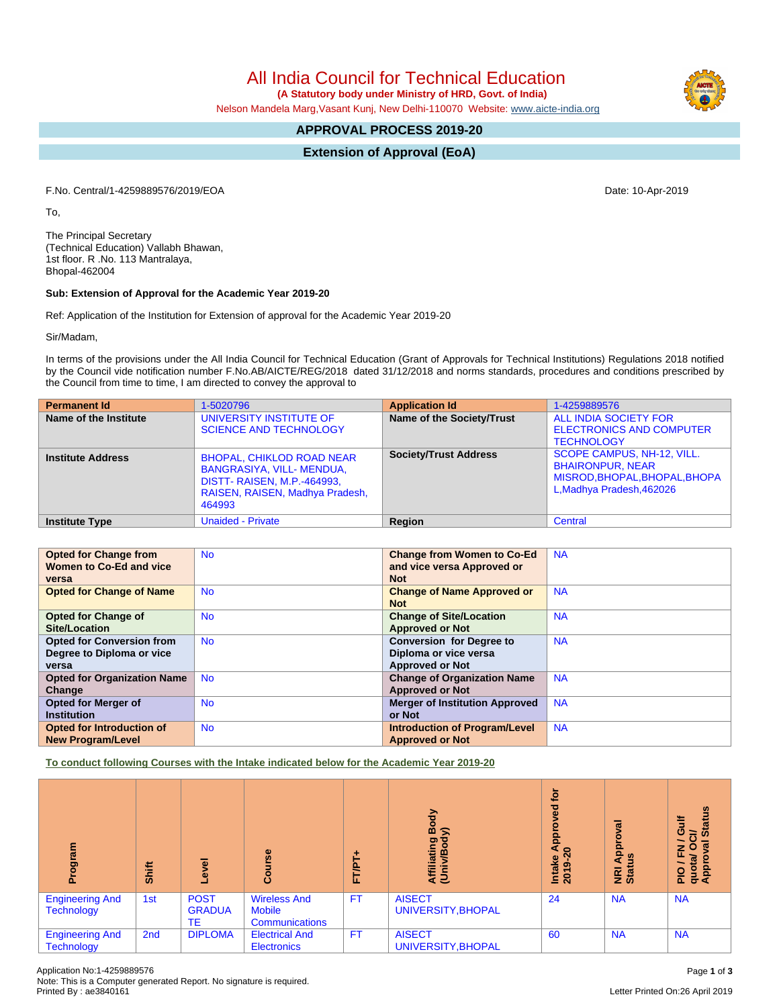All India Council for Technical Education

 **(A Statutory body under Ministry of HRD, Govt. of India)**

Nelson Mandela Marg,Vasant Kunj, New Delhi-110070 Website: [www.aicte-india.org](http://www.aicte-india.org)

# **APPROVAL PROCESS 2019-20**

**Extension of Approval (EoA)**

F.No. Central/1-4259889576/2019/EOA Date: 10-Apr-2019

To,

The Principal Secretary (Technical Education) Vallabh Bhawan, 1st floor. R .No. 113 Mantralaya, Bhopal-462004

#### **Sub: Extension of Approval for the Academic Year 2019-20**

Ref: Application of the Institution for Extension of approval for the Academic Year 2019-20

Sir/Madam,

In terms of the provisions under the All India Council for Technical Education (Grant of Approvals for Technical Institutions) Regulations 2018 notified by the Council vide notification number F.No.AB/AICTE/REG/2018 dated 31/12/2018 and norms standards, procedures and conditions prescribed by the Council from time to time, I am directed to convey the approval to

| <b>Permanent Id</b>      | 1-5020796                                                                                                                                        | <b>Application Id</b>            | 1-4259889576                                                                                                        |
|--------------------------|--------------------------------------------------------------------------------------------------------------------------------------------------|----------------------------------|---------------------------------------------------------------------------------------------------------------------|
| Name of the Institute    | UNIVERSITY INSTITUTE OF<br><b>SCIENCE AND TECHNOLOGY</b>                                                                                         | <b>Name of the Society/Trust</b> | ALL INDIA SOCIETY FOR<br><b>ELECTRONICS AND COMPUTER</b><br><b>TECHNOLOGY</b>                                       |
| <b>Institute Address</b> | <b>BHOPAL, CHIKLOD ROAD NEAR</b><br>BANGRASIYA, VILL- MENDUA,<br><b>DISTT- RAISEN, M.P.-464993,</b><br>RAISEN, RAISEN, Madhya Pradesh,<br>464993 | <b>Society/Trust Address</b>     | SCOPE CAMPUS, NH-12, VILL.<br><b>BHAIRONPUR, NEAR</b><br>MISROD, BHOPAL, BHOPAL, BHOPA<br>L, Madhya Pradesh, 462026 |
| <b>Institute Type</b>    | <b>Unaided - Private</b>                                                                                                                         | Region                           | Central                                                                                                             |

| <b>Opted for Change from</b>       | <b>No</b> | <b>Change from Women to Co-Ed</b>     | <b>NA</b> |
|------------------------------------|-----------|---------------------------------------|-----------|
| Women to Co-Ed and vice            |           | and vice versa Approved or            |           |
| versa                              |           | <b>Not</b>                            |           |
| <b>Opted for Change of Name</b>    | <b>No</b> | <b>Change of Name Approved or</b>     | <b>NA</b> |
|                                    |           | <b>Not</b>                            |           |
| <b>Opted for Change of</b>         | <b>No</b> | <b>Change of Site/Location</b>        | <b>NA</b> |
| Site/Location                      |           | <b>Approved or Not</b>                |           |
| <b>Opted for Conversion from</b>   | <b>No</b> | <b>Conversion for Degree to</b>       | <b>NA</b> |
| Degree to Diploma or vice          |           | Diploma or vice versa                 |           |
| versa                              |           | <b>Approved or Not</b>                |           |
| <b>Opted for Organization Name</b> | <b>No</b> | <b>Change of Organization Name</b>    | <b>NA</b> |
| Change                             |           | <b>Approved or Not</b>                |           |
| <b>Opted for Merger of</b>         | <b>No</b> | <b>Merger of Institution Approved</b> | <b>NA</b> |
| <b>Institution</b>                 |           | or Not                                |           |
| Opted for Introduction of          | <b>No</b> | <b>Introduction of Program/Level</b>  | <b>NA</b> |
| <b>New Program/Level</b>           |           | <b>Approved or Not</b>                |           |

**To conduct following Courses with the Intake indicated below for the Academic Year 2019-20**

| m<br>ā                                      | <b>Shift</b>    | g<br>ق                             | Course                                                        | FT/PT     | Body<br>$\widehat{\phantom{a}}$<br>Affiliating<br>(Univ/Bod <sup>,</sup> | tor<br><b>be</b><br><b>Appi</b><br>$\boldsymbol{\mathsf{a}}$<br>Intake<br>2019-2 | ड़<br><b>Appro</b><br>≝<br><b>E</b> ät | <b>Status</b><br>₹<br>ပ<br>້៰<br>$\sigma$<br>O<br>z<br>ш.<br>quota/<br>Approv<br><b>DIG</b> |
|---------------------------------------------|-----------------|------------------------------------|---------------------------------------------------------------|-----------|--------------------------------------------------------------------------|----------------------------------------------------------------------------------|----------------------------------------|---------------------------------------------------------------------------------------------|
| <b>Engineering And</b><br><b>Technology</b> | 1st             | <b>POST</b><br><b>GRADUA</b><br>TE | <b>Wireless And</b><br><b>Mobile</b><br><b>Communications</b> | <b>FT</b> | <b>AISECT</b><br>UNIVERSITY, BHOPAL                                      | 24                                                                               | <b>NA</b>                              | <b>NA</b>                                                                                   |
| <b>Engineering And</b><br><b>Technology</b> | 2 <sub>nd</sub> | <b>DIPLOMA</b>                     | <b>Electrical And</b><br><b>Electronics</b>                   | <b>FT</b> | <b>AISECT</b><br>UNIVERSITY, BHOPAL                                      | 60                                                                               | <b>NA</b>                              | <b>NA</b>                                                                                   |

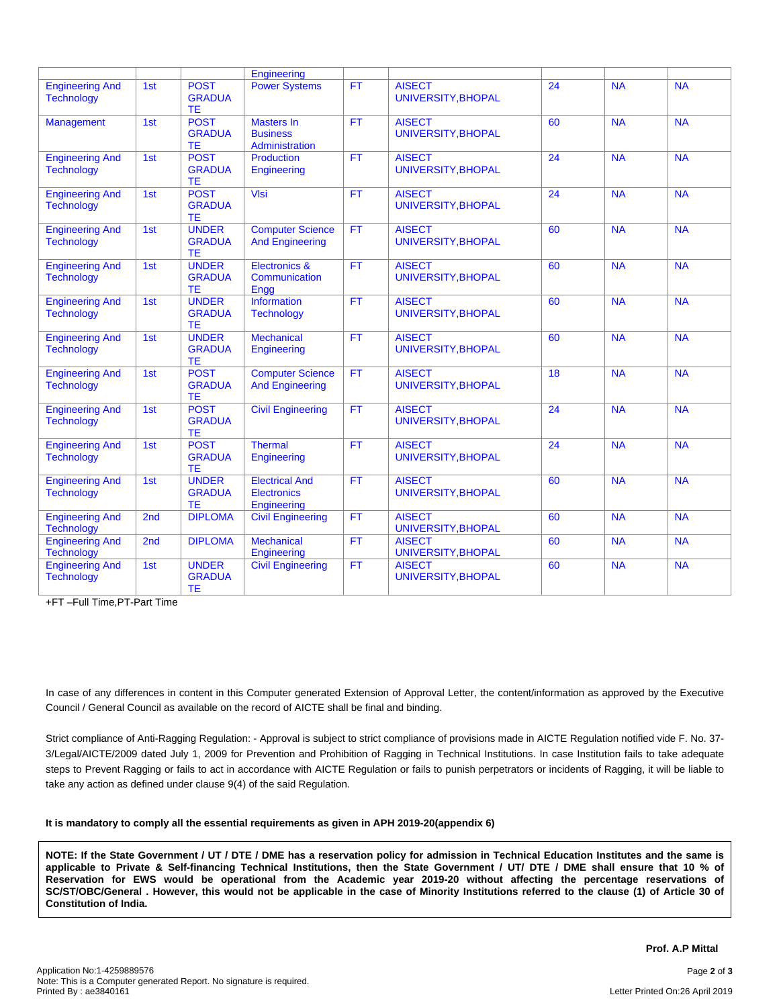|                                             |     |                                            | Engineering                                                |           |                                     |    |           |           |
|---------------------------------------------|-----|--------------------------------------------|------------------------------------------------------------|-----------|-------------------------------------|----|-----------|-----------|
| <b>Engineering And</b><br><b>Technology</b> | 1st | <b>POST</b><br><b>GRADUA</b><br><b>TE</b>  | <b>Power Systems</b>                                       | <b>FT</b> | <b>AISECT</b><br>UNIVERSITY, BHOPAL | 24 | <b>NA</b> | <b>NA</b> |
| <b>Management</b>                           | 1st | <b>POST</b><br><b>GRADUA</b><br><b>TE</b>  | <b>Masters In</b><br><b>Business</b><br>Administration     | <b>FT</b> | <b>AISECT</b><br>UNIVERSITY, BHOPAL | 60 | <b>NA</b> | <b>NA</b> |
| <b>Engineering And</b><br><b>Technology</b> | 1st | <b>POST</b><br><b>GRADUA</b><br>ТE         | Production<br>Engineering                                  | <b>FT</b> | <b>AISECT</b><br>UNIVERSITY, BHOPAL | 24 | <b>NA</b> | <b>NA</b> |
| <b>Engineering And</b><br><b>Technology</b> | 1st | <b>POST</b><br><b>GRADUA</b><br>TE         | Vlsi                                                       | <b>FT</b> | <b>AISECT</b><br>UNIVERSITY, BHOPAL | 24 | <b>NA</b> | <b>NA</b> |
| <b>Engineering And</b><br><b>Technology</b> | 1st | <b>UNDER</b><br><b>GRADUA</b><br><b>TE</b> | <b>Computer Science</b><br><b>And Engineering</b>          | <b>FT</b> | <b>AISECT</b><br>UNIVERSITY, BHOPAL | 60 | <b>NA</b> | <b>NA</b> |
| <b>Engineering And</b><br><b>Technology</b> | 1st | <b>UNDER</b><br><b>GRADUA</b><br><b>TE</b> | <b>Electronics &amp;</b><br>Communication<br>Engg          | <b>FT</b> | <b>AISECT</b><br>UNIVERSITY, BHOPAL | 60 | <b>NA</b> | <b>NA</b> |
| <b>Engineering And</b><br><b>Technology</b> | 1st | <b>UNDER</b><br><b>GRADUA</b><br><b>TE</b> | <b>Information</b><br><b>Technology</b>                    | <b>FT</b> | <b>AISECT</b><br>UNIVERSITY, BHOPAL | 60 | <b>NA</b> | <b>NA</b> |
| <b>Engineering And</b><br><b>Technology</b> | 1st | <b>UNDER</b><br><b>GRADUA</b><br>TE.       | <b>Mechanical</b><br>Engineering                           | FT        | <b>AISECT</b><br>UNIVERSITY, BHOPAL | 60 | <b>NA</b> | NA        |
| <b>Engineering And</b><br><b>Technology</b> | 1st | <b>POST</b><br><b>GRADUA</b><br>TE.        | <b>Computer Science</b><br><b>And Engineering</b>          | <b>FT</b> | <b>AISECT</b><br>UNIVERSITY, BHOPAL | 18 | <b>NA</b> | <b>NA</b> |
| <b>Engineering And</b><br><b>Technology</b> | 1st | <b>POST</b><br><b>GRADUA</b><br>TE.        | <b>Civil Engineering</b>                                   | <b>FT</b> | <b>AISECT</b><br>UNIVERSITY, BHOPAL | 24 | <b>NA</b> | <b>NA</b> |
| <b>Engineering And</b><br><b>Technology</b> | 1st | <b>POST</b><br><b>GRADUA</b><br><b>TE</b>  | <b>Thermal</b><br>Engineering                              | <b>FT</b> | <b>AISECT</b><br>UNIVERSITY, BHOPAL | 24 | <b>NA</b> | <b>NA</b> |
| <b>Engineering And</b><br><b>Technology</b> | 1st | <b>UNDER</b><br><b>GRADUA</b><br><b>TE</b> | <b>Electrical And</b><br><b>Electronics</b><br>Engineering | <b>FT</b> | <b>AISECT</b><br>UNIVERSITY, BHOPAL | 60 | <b>NA</b> | <b>NA</b> |
| <b>Engineering And</b><br><b>Technology</b> | 2nd | <b>DIPLOMA</b>                             | <b>Civil Engineering</b>                                   | <b>FT</b> | <b>AISECT</b><br>UNIVERSITY, BHOPAL | 60 | <b>NA</b> | <b>NA</b> |
| <b>Engineering And</b><br><b>Technology</b> | 2nd | <b>DIPLOMA</b>                             | <b>Mechanical</b><br>Engineering                           | <b>FT</b> | <b>AISECT</b><br>UNIVERSITY, BHOPAL | 60 | <b>NA</b> | <b>NA</b> |
| <b>Engineering And</b><br><b>Technology</b> | 1st | <b>UNDER</b><br><b>GRADUA</b><br><b>TE</b> | <b>Civil Engineering</b>                                   | <b>FT</b> | <b>AISECT</b><br>UNIVERSITY, BHOPAL | 60 | <b>NA</b> | <b>NA</b> |

+FT –Full Time,PT-Part Time

In case of any differences in content in this Computer generated Extension of Approval Letter, the content/information as approved by the Executive Council / General Council as available on the record of AICTE shall be final and binding.

Strict compliance of Anti-Ragging Regulation: - Approval is subject to strict compliance of provisions made in AICTE Regulation notified vide F. No. 37- 3/Legal/AICTE/2009 dated July 1, 2009 for Prevention and Prohibition of Ragging in Technical Institutions. In case Institution fails to take adequate steps to Prevent Ragging or fails to act in accordance with AICTE Regulation or fails to punish perpetrators or incidents of Ragging, it will be liable to take any action as defined under clause 9(4) of the said Regulation.

#### **It is mandatory to comply all the essential requirements as given in APH 2019-20(appendix 6)**

NOTE: If the State Government / UT / DTE / DME has a reservation policy for admission in Technical Education Institutes and the same is applicable to Private & Self-financing Technical Institutions, then the State Government / UT/ DTE / DME shall ensure that 10 % of Reservation for EWS would be operational from the Academic year 2019-20 without affecting the percentage reservations of SC/ST/OBC/General . However, this would not be applicable in the case of Minority Institutions referred to the clause (1) of Article 30 of **Constitution of India.**